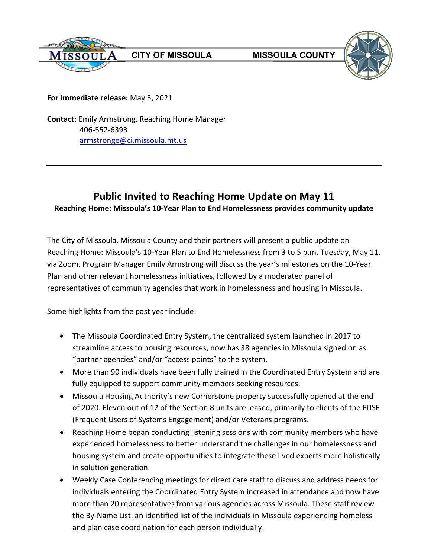



**For immediate release:** May 5, 2021

**Contact:** Emily Armstrong, Reaching Home Manager 406-552-6393 [armstronge@ci.missoula.mt.us](mailto:armstronge@ci.missoula.mt.us)

## **Public Invited to Reaching Home Update on May 11 Reaching Home: Missoula's 10-Year Plan to End Homelessness provides community update**

The City of Missoula, Missoula County and their partners will present a public update on Reaching Home: Missoula's 10-Year Plan to End Homelessness from 3 to 5 p.m. Tuesday, May 11, via Zoom. Program Manager Emily Armstrong will discuss the year's milestones on the 10-Year Plan and other relevant homelessness initiatives, followed by a moderated panel of representatives of community agencies that work in homelessness and housing in Missoula.

Some highlights from the past year include:

- The Missoula Coordinated Entry System, the centralized system launched in 2017 to streamline access to housing resources, now has 38 agencies in Missoula signed on as "partner agencies" and/or "access points" to the system.
- More than 90 individuals have been fully trained in the Coordinated Entry System and are fully equipped to support community members seeking resources.
- Missoula Housing Authority's new Cornerstone property successfully opened at the end of 2020. Eleven out of 12 of the Section 8 units are leased, primarily to clients of the FUSE (Frequent Users of Systems Engagement) and/or Veterans programs.
- Reaching Home began conducting listening sessions with community members who have experienced homelessness to better understand the challenges in our homelessness and housing system and create opportunities to integrate these lived experts more holistically in solution generation.
- Weekly Case Conferencing meetings for direct care staff to discuss and address needs for individuals entering the Coordinated Entry System increased in attendance and now have more than 20 representatives from various agencies across Missoula. These staff review the By-Name List, an identified list of the individuals in Missoula experiencing homeless and plan case coordination for each person individually.